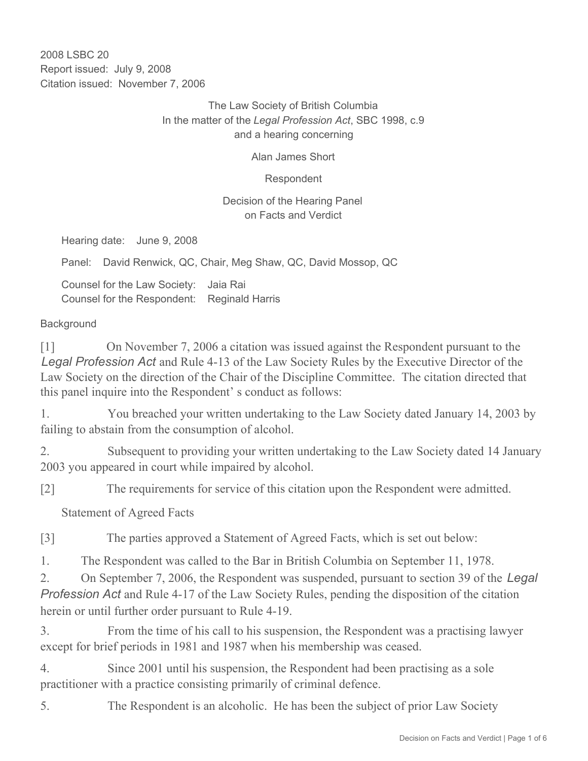2008 LSBC 20 Report issued: July 9, 2008 Citation issued: November 7, 2006

> The Law Society of British Columbia In the matter of the *Legal Profession Act*, SBC 1998, c.9 and a hearing concerning

> > Alan James Short

Respondent

#### Decision of the Hearing Panel on Facts and Verdict

Hearing date: June 9, 2008

Panel: David Renwick, QC, Chair, Meg Shaw, QC, David Mossop, QC

Counsel for the Law Society: Jaia Rai Counsel for the Respondent: Reginald Harris

#### **Background**

[1] On November 7, 2006 a citation was issued against the Respondent pursuant to the *Legal Profession Act* and Rule 4-13 of the Law Society Rules by the Executive Director of the Law Society on the direction of the Chair of the Discipline Committee. The citation directed that this panel inquire into the Respondent' s conduct as follows:

1. You breached your written undertaking to the Law Society dated January 14, 2003 by failing to abstain from the consumption of alcohol.

2. Subsequent to providing your written undertaking to the Law Society dated 14 January 2003 you appeared in court while impaired by alcohol.

[2] The requirements for service of this citation upon the Respondent were admitted.

Statement of Agreed Facts

[3] The parties approved a Statement of Agreed Facts, which is set out below:

1. The Respondent was called to the Bar in British Columbia on September 11, 1978.

2. On September 7, 2006, the Respondent was suspended, pursuant to section 39 of the *Legal Profession Act* and Rule 4-17 of the Law Society Rules, pending the disposition of the citation herein or until further order pursuant to Rule 4-19.

3. From the time of his call to his suspension, the Respondent was a practising lawyer except for brief periods in 1981 and 1987 when his membership was ceased.

4. Since 2001 until his suspension, the Respondent had been practising as a sole practitioner with a practice consisting primarily of criminal defence.

5. The Respondent is an alcoholic. He has been the subject of prior Law Society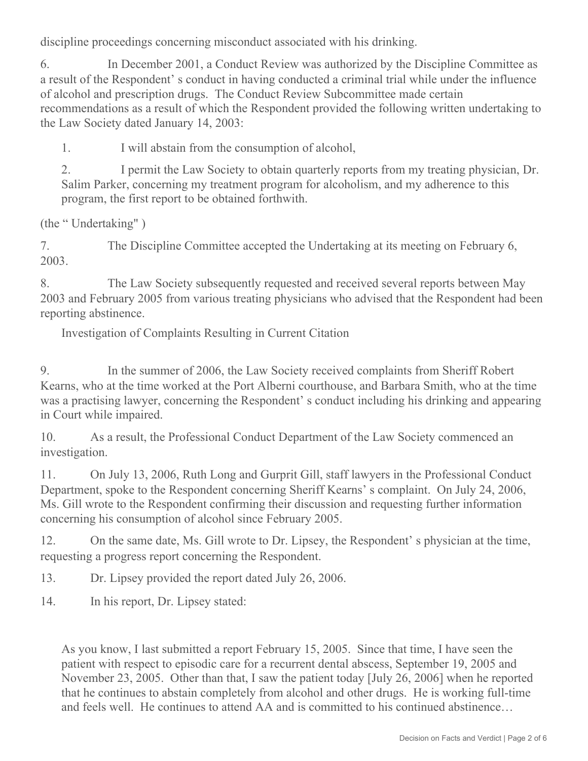discipline proceedings concerning misconduct associated with his drinking.

6. In December 2001, a Conduct Review was authorized by the Discipline Committee as a result of the Respondent's conduct in having conducted a criminal trial while under the influence of alcohol and prescription drugs. The Conduct Review Subcommittee made certain recommendations as a result of which the Respondent provided the following written undertaking to the Law Society dated January 14, 2003:

1. I will abstain from the consumption of alcohol,

2. I permit the Law Society to obtain quarterly reports from my treating physician, Dr. Salim Parker, concerning my treatment program for alcoholism, and my adherence to this program, the first report to be obtained forthwith.

(the " Undertaking" )

7. The Discipline Committee accepted the Undertaking at its meeting on February 6, 2003.

8. The Law Society subsequently requested and received several reports between May 2003 and February 2005 from various treating physicians who advised that the Respondent had been reporting abstinence.

Investigation of Complaints Resulting in Current Citation

9. In the summer of 2006, the Law Society received complaints from Sheriff Robert Kearns, who at the time worked at the Port Alberni courthouse, and Barbara Smith, who at the time was a practising lawyer, concerning the Respondent' s conduct including his drinking and appearing in Court while impaired.

10. As a result, the Professional Conduct Department of the Law Society commenced an investigation.

11. On July 13, 2006, Ruth Long and Gurprit Gill, staff lawyers in the Professional Conduct Department, spoke to the Respondent concerning Sheriff Kearns' s complaint. On July 24, 2006, Ms. Gill wrote to the Respondent confirming their discussion and requesting further information concerning his consumption of alcohol since February 2005.

12. On the same date, Ms. Gill wrote to Dr. Lipsey, the Respondent' s physician at the time, requesting a progress report concerning the Respondent.

13. Dr. Lipsey provided the report dated July 26, 2006.

14. In his report, Dr. Lipsey stated:

As you know, I last submitted a report February 15, 2005. Since that time, I have seen the patient with respect to episodic care for a recurrent dental abscess, September 19, 2005 and November 23, 2005. Other than that, I saw the patient today [July 26, 2006] when he reported that he continues to abstain completely from alcohol and other drugs. He is working full-time and feels well. He continues to attend AA and is committed to his continued abstinence…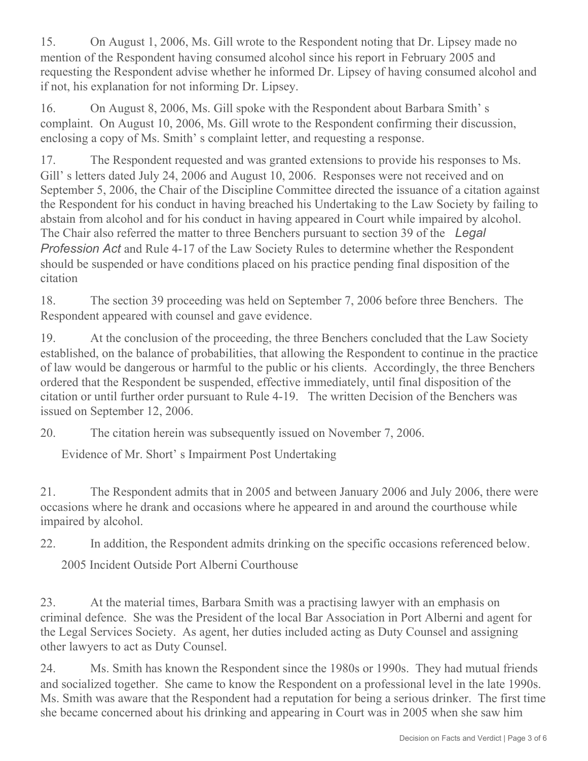15. On August 1, 2006, Ms. Gill wrote to the Respondent noting that Dr. Lipsey made no mention of the Respondent having consumed alcohol since his report in February 2005 and requesting the Respondent advise whether he informed Dr. Lipsey of having consumed alcohol and if not, his explanation for not informing Dr. Lipsey.

16. On August 8, 2006, Ms. Gill spoke with the Respondent about Barbara Smith' s complaint. On August 10, 2006, Ms. Gill wrote to the Respondent confirming their discussion, enclosing a copy of Ms. Smith' s complaint letter, and requesting a response.

17. The Respondent requested and was granted extensions to provide his responses to Ms. Gill' s letters dated July 24, 2006 and August 10, 2006. Responses were not received and on September 5, 2006, the Chair of the Discipline Committee directed the issuance of a citation against the Respondent for his conduct in having breached his Undertaking to the Law Society by failing to abstain from alcohol and for his conduct in having appeared in Court while impaired by alcohol. The Chair also referred the matter to three Benchers pursuant to section 39 of the *Legal Profession Act* and Rule 4-17 of the Law Society Rules to determine whether the Respondent should be suspended or have conditions placed on his practice pending final disposition of the citation

18. The section 39 proceeding was held on September 7, 2006 before three Benchers. The Respondent appeared with counsel and gave evidence.

19. At the conclusion of the proceeding, the three Benchers concluded that the Law Society established, on the balance of probabilities, that allowing the Respondent to continue in the practice of law would be dangerous or harmful to the public or his clients. Accordingly, the three Benchers ordered that the Respondent be suspended, effective immediately, until final disposition of the citation or until further order pursuant to Rule 4-19. The written Decision of the Benchers was issued on September 12, 2006.

20. The citation herein was subsequently issued on November 7, 2006.

Evidence of Mr. Short' s Impairment Post Undertaking

21. The Respondent admits that in 2005 and between January 2006 and July 2006, there were occasions where he drank and occasions where he appeared in and around the courthouse while impaired by alcohol.

22. In addition, the Respondent admits drinking on the specific occasions referenced below.

2005 Incident Outside Port Alberni Courthouse

23. At the material times, Barbara Smith was a practising lawyer with an emphasis on criminal defence. She was the President of the local Bar Association in Port Alberni and agent for the Legal Services Society. As agent, her duties included acting as Duty Counsel and assigning other lawyers to act as Duty Counsel.

24. Ms. Smith has known the Respondent since the 1980s or 1990s. They had mutual friends and socialized together. She came to know the Respondent on a professional level in the late 1990s. Ms. Smith was aware that the Respondent had a reputation for being a serious drinker. The first time she became concerned about his drinking and appearing in Court was in 2005 when she saw him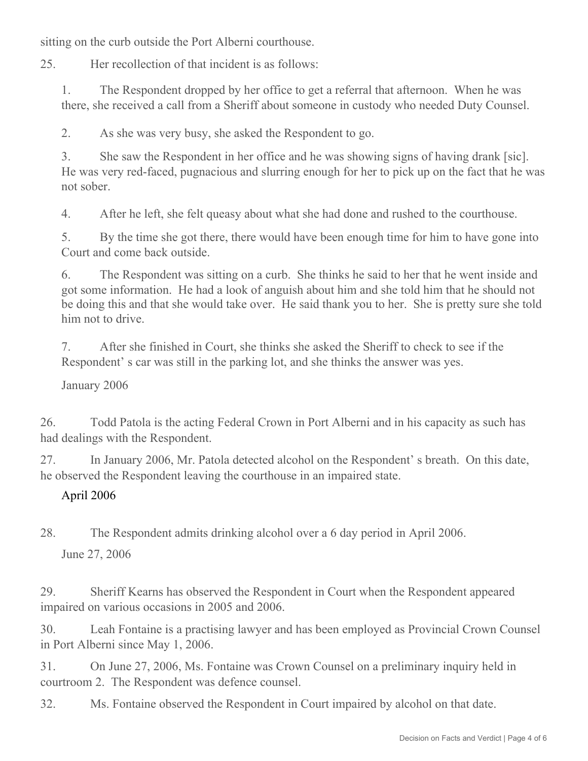sitting on the curb outside the Port Alberni courthouse.

25. Her recollection of that incident is as follows:

1. The Respondent dropped by her office to get a referral that afternoon. When he was there, she received a call from a Sheriff about someone in custody who needed Duty Counsel.

2. As she was very busy, she asked the Respondent to go.

3. She saw the Respondent in her office and he was showing signs of having drank [sic]. He was very red-faced, pugnacious and slurring enough for her to pick up on the fact that he was not sober.

4. After he left, she felt queasy about what she had done and rushed to the courthouse.

5. By the time she got there, there would have been enough time for him to have gone into Court and come back outside.

6. The Respondent was sitting on a curb. She thinks he said to her that he went inside and got some information. He had a look of anguish about him and she told him that he should not be doing this and that she would take over. He said thank you to her. She is pretty sure she told him not to drive.

7. After she finished in Court, she thinks she asked the Sheriff to check to see if the Respondent' s car was still in the parking lot, and she thinks the answer was yes.

January 2006

26. Todd Patola is the acting Federal Crown in Port Alberni and in his capacity as such has had dealings with the Respondent.

27. In January 2006, Mr. Patola detected alcohol on the Respondent' s breath. On this date, he observed the Respondent leaving the courthouse in an impaired state.

## April 2006

28. The Respondent admits drinking alcohol over a 6 day period in April 2006.

June 27, 2006

29. Sheriff Kearns has observed the Respondent in Court when the Respondent appeared impaired on various occasions in 2005 and 2006.

30. Leah Fontaine is a practising lawyer and has been employed as Provincial Crown Counsel in Port Alberni since May 1, 2006.

31. On June 27, 2006, Ms. Fontaine was Crown Counsel on a preliminary inquiry held in courtroom 2. The Respondent was defence counsel.

32. Ms. Fontaine observed the Respondent in Court impaired by alcohol on that date.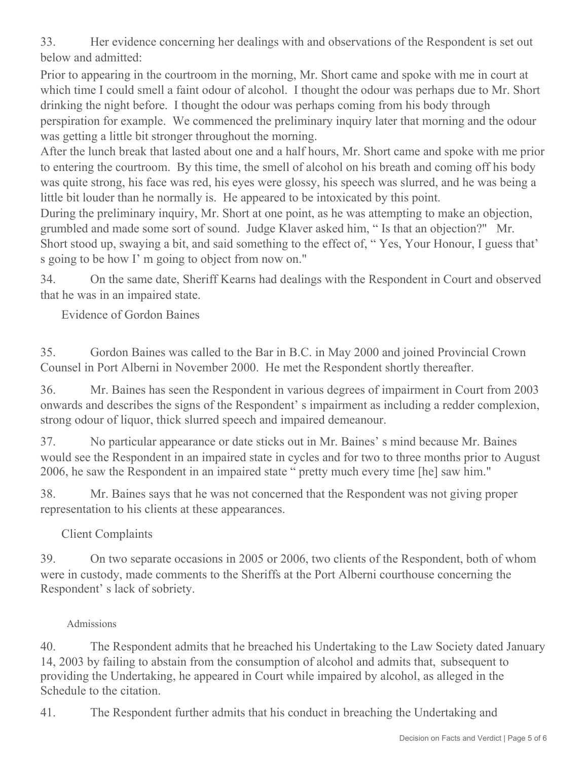33. Her evidence concerning her dealings with and observations of the Respondent is set out below and admitted:

Prior to appearing in the courtroom in the morning, Mr. Short came and spoke with me in court at which time I could smell a faint odour of alcohol. I thought the odour was perhaps due to Mr. Short drinking the night before. I thought the odour was perhaps coming from his body through perspiration for example. We commenced the preliminary inquiry later that morning and the odour was getting a little bit stronger throughout the morning.

After the lunch break that lasted about one and a half hours, Mr. Short came and spoke with me prior to entering the courtroom. By this time, the smell of alcohol on his breath and coming off his body was quite strong, his face was red, his eyes were glossy, his speech was slurred, and he was being a little bit louder than he normally is. He appeared to be intoxicated by this point.

During the preliminary inquiry, Mr. Short at one point, as he was attempting to make an objection, grumbled and made some sort of sound. Judge Klaver asked him, " Is that an objection?" Mr. Short stood up, swaying a bit, and said something to the effect of, " Yes, Your Honour, I guess that' s going to be how I' m going to object from now on."

34. On the same date, Sheriff Kearns had dealings with the Respondent in Court and observed that he was in an impaired state.

Evidence of Gordon Baines

35. Gordon Baines was called to the Bar in B.C. in May 2000 and joined Provincial Crown Counsel in Port Alberni in November 2000. He met the Respondent shortly thereafter.

36. Mr. Baines has seen the Respondent in various degrees of impairment in Court from 2003 onwards and describes the signs of the Respondent' s impairment as including a redder complexion, strong odour of liquor, thick slurred speech and impaired demeanour.

37. No particular appearance or date sticks out in Mr. Baines' s mind because Mr. Baines would see the Respondent in an impaired state in cycles and for two to three months prior to August 2006, he saw the Respondent in an impaired state " pretty much every time [he] saw him."

38. Mr. Baines says that he was not concerned that the Respondent was not giving proper representation to his clients at these appearances.

Client Complaints

39. On two separate occasions in 2005 or 2006, two clients of the Respondent, both of whom were in custody, made comments to the Sheriffs at the Port Alberni courthouse concerning the Respondent' s lack of sobriety.

## Admissions

40. The Respondent admits that he breached his Undertaking to the Law Society dated January 14, 2003 by failing to abstain from the consumption of alcohol and admits that, subsequent to providing the Undertaking, he appeared in Court while impaired by alcohol, as alleged in the Schedule to the citation.

41. The Respondent further admits that his conduct in breaching the Undertaking and